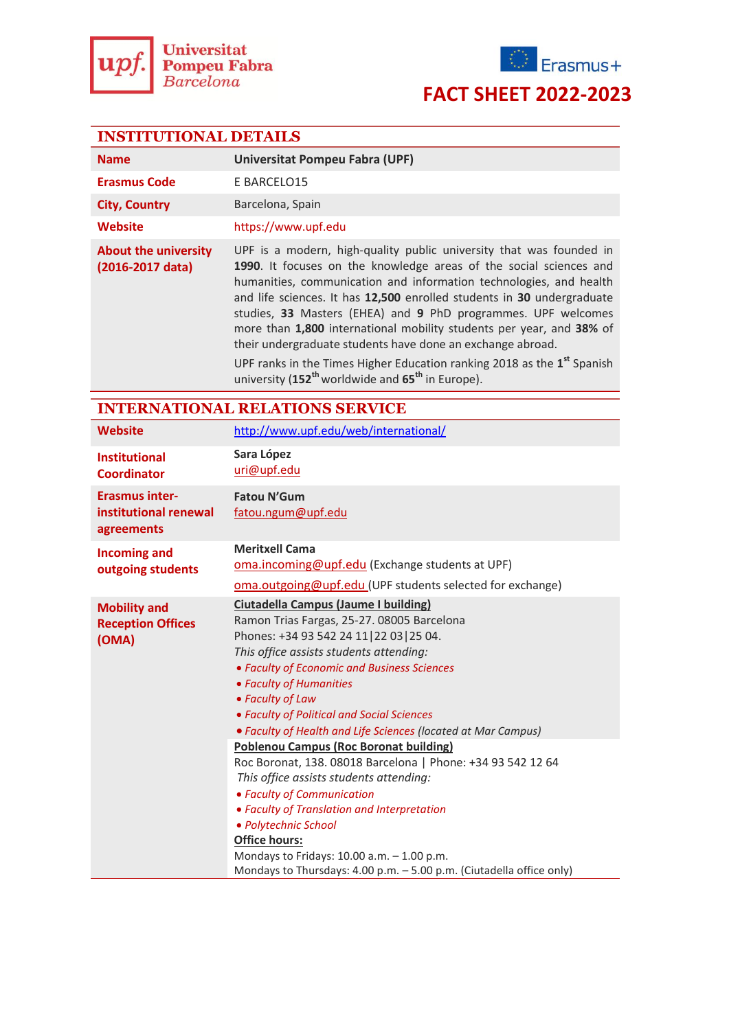



### **FACT SHEET 2022-2023**

#### **INSTITUTIONAL DETAILS**

| <b>Name</b>                                     | <b>Universitat Pompeu Fabra (UPF)</b>                                                                                                                                                                                                                                                                                                                                                                                                                                                                                                                                                                                                                               |  |  |
|-------------------------------------------------|---------------------------------------------------------------------------------------------------------------------------------------------------------------------------------------------------------------------------------------------------------------------------------------------------------------------------------------------------------------------------------------------------------------------------------------------------------------------------------------------------------------------------------------------------------------------------------------------------------------------------------------------------------------------|--|--|
| <b>Erasmus Code</b>                             | E BARCELO15                                                                                                                                                                                                                                                                                                                                                                                                                                                                                                                                                                                                                                                         |  |  |
| <b>City, Country</b>                            | Barcelona, Spain                                                                                                                                                                                                                                                                                                                                                                                                                                                                                                                                                                                                                                                    |  |  |
| Website                                         | https://www.upf.edu                                                                                                                                                                                                                                                                                                                                                                                                                                                                                                                                                                                                                                                 |  |  |
| <b>About the university</b><br>(2016-2017 data) | UPF is a modern, high-quality public university that was founded in<br>1990. It focuses on the knowledge areas of the social sciences and<br>humanities, communication and information technologies, and health<br>and life sciences. It has 12,500 enrolled students in 30 undergraduate<br>studies, 33 Masters (EHEA) and 9 PhD programmes. UPF welcomes<br>more than 1,800 international mobility students per year, and 38% of<br>their undergraduate students have done an exchange abroad.<br>UPF ranks in the Times Higher Education ranking 2018 as the 1 <sup>st</sup> Spanish<br>university (152 <sup>th</sup> worldwide and 65 <sup>th</sup> in Europe). |  |  |

### **INTERNATIONAL RELATIONS SERVICE**

| <b>Website</b>                                               | http://www.upf.edu/web/international/                                                                                                                                                                                                                                                                                                                                                                                                                                                                                                                                                                                                                                                                                                                                                             |  |  |
|--------------------------------------------------------------|---------------------------------------------------------------------------------------------------------------------------------------------------------------------------------------------------------------------------------------------------------------------------------------------------------------------------------------------------------------------------------------------------------------------------------------------------------------------------------------------------------------------------------------------------------------------------------------------------------------------------------------------------------------------------------------------------------------------------------------------------------------------------------------------------|--|--|
| <b>Institutional</b><br><b>Coordinator</b>                   | Sara López<br>uri@upf.edu                                                                                                                                                                                                                                                                                                                                                                                                                                                                                                                                                                                                                                                                                                                                                                         |  |  |
| <b>Erasmus inter-</b><br>institutional renewal<br>agreements | <b>Fatou N'Gum</b><br>fatou.ngum@upf.edu                                                                                                                                                                                                                                                                                                                                                                                                                                                                                                                                                                                                                                                                                                                                                          |  |  |
| <b>Incoming and</b><br>outgoing students                     | <b>Meritxell Cama</b><br>oma.incoming@upf.edu (Exchange students at UPF)<br>oma.outgoing@upf.edu (UPF students selected for exchange)                                                                                                                                                                                                                                                                                                                                                                                                                                                                                                                                                                                                                                                             |  |  |
| <b>Mobility and</b><br><b>Reception Offices</b><br>(OMA)     | Ciutadella Campus (Jaume I building)<br>Ramon Trias Fargas, 25-27. 08005 Barcelona<br>Phones: +34 93 542 24 11 22 03 25 04.<br>This office assists students attending:<br>• Faculty of Economic and Business Sciences<br>• Faculty of Humanities<br>• Faculty of Law<br>• Faculty of Political and Social Sciences<br>• Faculty of Health and Life Sciences (located at Mar Campus)<br><b>Poblenou Campus (Roc Boronat building)</b><br>Roc Boronat, 138. 08018 Barcelona   Phone: +34 93 542 12 64<br>This office assists students attending:<br>• Faculty of Communication<br>• Faculty of Translation and Interpretation<br>· Polytechnic School<br><b>Office hours:</b><br>Mondays to Fridays: 10.00 a.m. - 1.00 p.m.<br>Mondays to Thursdays: 4.00 p.m. - 5.00 p.m. (Ciutadella office only) |  |  |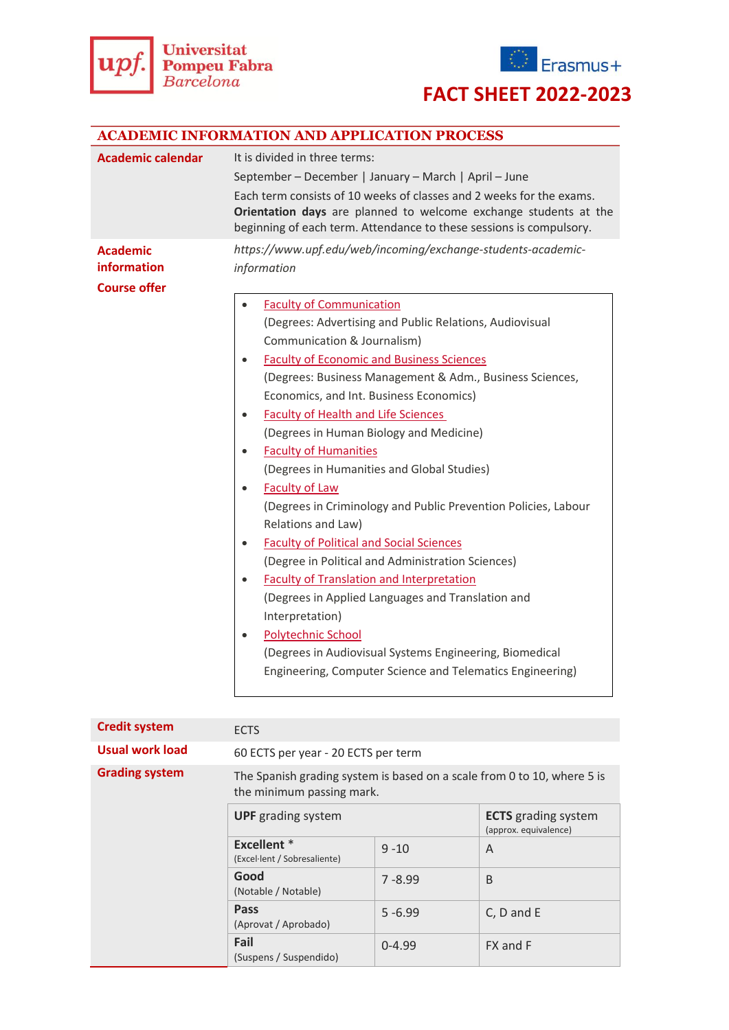



## **FACT SHEET 2022-2023**

| <b>ACADEMIC INFORMATION AND APPLICATION PROCESS</b>          |                                                                                                                                                                                                                 |  |  |  |  |
|--------------------------------------------------------------|-----------------------------------------------------------------------------------------------------------------------------------------------------------------------------------------------------------------|--|--|--|--|
| <b>Academic calendar</b>                                     | It is divided in three terms:                                                                                                                                                                                   |  |  |  |  |
|                                                              | September - December   January - March   April - June                                                                                                                                                           |  |  |  |  |
|                                                              | Each term consists of 10 weeks of classes and 2 weeks for the exams.<br>Orientation days are planned to welcome exchange students at the<br>beginning of each term. Attendance to these sessions is compulsory. |  |  |  |  |
| <b>Academic</b><br><b>information</b><br><b>Course offer</b> | https://www.upf.edu/web/incoming/exchange-students-academic-<br>information                                                                                                                                     |  |  |  |  |
|                                                              | <b>Faculty of Communication</b>                                                                                                                                                                                 |  |  |  |  |
|                                                              | (Degrees: Advertising and Public Relations, Audiovisual                                                                                                                                                         |  |  |  |  |
|                                                              | Communication & Journalism)                                                                                                                                                                                     |  |  |  |  |
|                                                              | <b>Faculty of Economic and Business Sciences</b><br>$\bullet$                                                                                                                                                   |  |  |  |  |
|                                                              | (Degrees: Business Management & Adm., Business Sciences,                                                                                                                                                        |  |  |  |  |
|                                                              | Economics, and Int. Business Economics)                                                                                                                                                                         |  |  |  |  |
|                                                              | <b>Faculty of Health and Life Sciences</b><br>$\bullet$                                                                                                                                                         |  |  |  |  |
|                                                              | (Degrees in Human Biology and Medicine)                                                                                                                                                                         |  |  |  |  |
|                                                              | <b>Faculty of Humanities</b><br>$\bullet$                                                                                                                                                                       |  |  |  |  |
|                                                              | (Degrees in Humanities and Global Studies)                                                                                                                                                                      |  |  |  |  |
|                                                              | <b>Faculty of Law</b><br>$\bullet$                                                                                                                                                                              |  |  |  |  |
|                                                              | (Degrees in Criminology and Public Prevention Policies, Labour                                                                                                                                                  |  |  |  |  |
|                                                              | Relations and Law)                                                                                                                                                                                              |  |  |  |  |
|                                                              | <b>Faculty of Political and Social Sciences</b><br>$\bullet$                                                                                                                                                    |  |  |  |  |
|                                                              | (Degree in Political and Administration Sciences)                                                                                                                                                               |  |  |  |  |
|                                                              | <b>Faculty of Translation and Interpretation</b><br>$\bullet$                                                                                                                                                   |  |  |  |  |
|                                                              | (Degrees in Applied Languages and Translation and                                                                                                                                                               |  |  |  |  |
|                                                              | Interpretation)                                                                                                                                                                                                 |  |  |  |  |
|                                                              | <b>Polytechnic School</b><br>$\bullet$                                                                                                                                                                          |  |  |  |  |
|                                                              | (Degrees in Audiovisual Systems Engineering, Biomedical                                                                                                                                                         |  |  |  |  |
|                                                              | Engineering, Computer Science and Telematics Engineering)                                                                                                                                                       |  |  |  |  |
|                                                              |                                                                                                                                                                                                                 |  |  |  |  |

| <b>Credit system</b>  | <b>ECTS</b>                                                                                          |            |                                                     |  |
|-----------------------|------------------------------------------------------------------------------------------------------|------------|-----------------------------------------------------|--|
| Usual work load       | 60 ECTS per year - 20 ECTS per term                                                                  |            |                                                     |  |
| <b>Grading system</b> | The Spanish grading system is based on a scale from 0 to 10, where 5 is<br>the minimum passing mark. |            |                                                     |  |
|                       | <b>UPF</b> grading system                                                                            |            | <b>ECTS</b> grading system<br>(approx. equivalence) |  |
|                       | <b>Excellent</b> *<br>(Excel·lent / Sobresaliente)                                                   | $9 - 10$   | A                                                   |  |
|                       | Good<br>(Notable / Notable)                                                                          | $7 - 8.99$ | B                                                   |  |
|                       | <b>Pass</b><br>(Aprovat / Aprobado)                                                                  | $5 - 6.99$ | C, D and E                                          |  |
|                       | Fail<br>(Suspens / Suspendido)                                                                       | $0 - 4.99$ | FX and F                                            |  |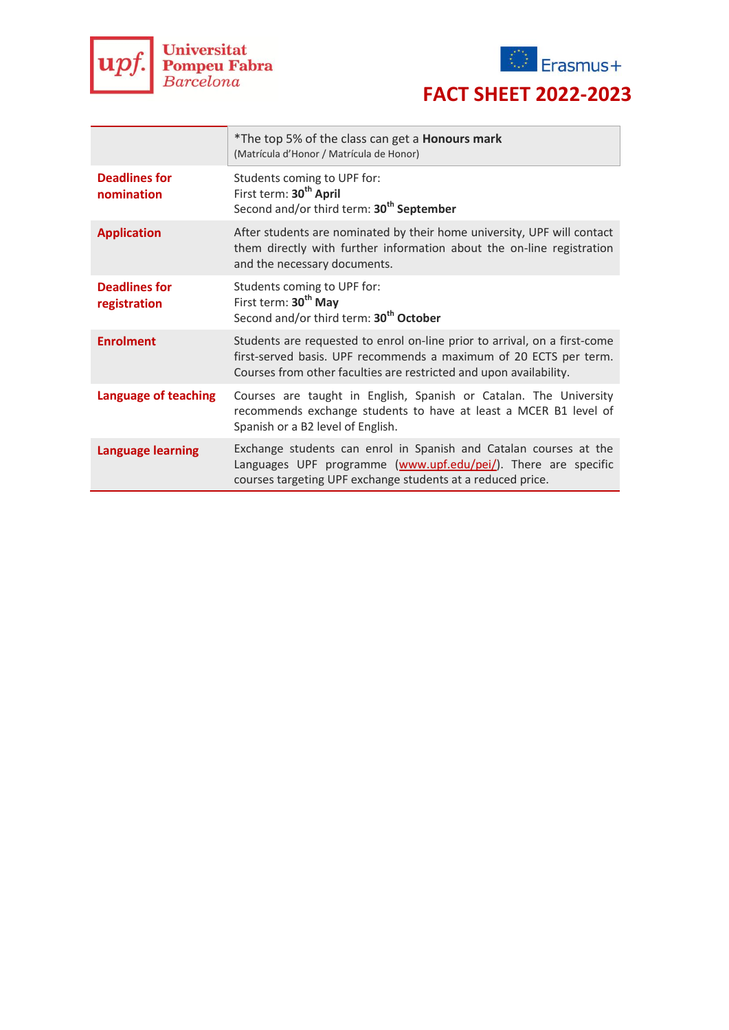



# **FACT SHEET 2022-2023**

|                                      | *The top 5% of the class can get a <b>Honours mark</b><br>(Matrícula d'Honor / Matrícula de Honor)                                                                                                                   |  |
|--------------------------------------|----------------------------------------------------------------------------------------------------------------------------------------------------------------------------------------------------------------------|--|
| <b>Deadlines for</b><br>nomination   | Students coming to UPF for:<br>First term: 30 <sup>th</sup> April<br>Second and/or third term: 30 <sup>th</sup> September                                                                                            |  |
| <b>Application</b>                   | After students are nominated by their home university, UPF will contact<br>them directly with further information about the on-line registration<br>and the necessary documents.                                     |  |
| <b>Deadlines for</b><br>registration | Students coming to UPF for:<br>First term: 30 <sup>th</sup> May<br>Second and/or third term: 30 <sup>th</sup> October                                                                                                |  |
| <b>Enrolment</b>                     | Students are requested to enrol on-line prior to arrival, on a first-come<br>first-served basis. UPF recommends a maximum of 20 ECTS per term.<br>Courses from other faculties are restricted and upon availability. |  |
| Language of teaching                 | Courses are taught in English, Spanish or Catalan. The University<br>recommends exchange students to have at least a MCER B1 level of<br>Spanish or a B2 level of English.                                           |  |
| <b>Language learning</b>             | Exchange students can enrol in Spanish and Catalan courses at the<br>Languages UPF programme (www.upf.edu/pei/). There are specific<br>courses targeting UPF exchange students at a reduced price.                   |  |